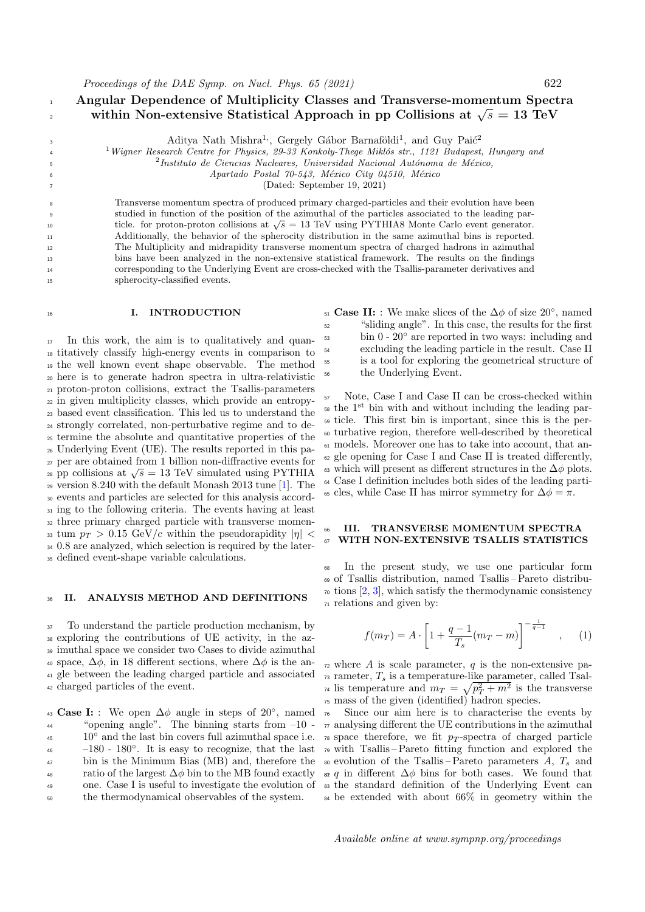# <sup>1</sup> Angular Dependence of Multiplicity Classes and Transverse-momentum Spectra Angular Dependence of Multiplicity Classes and Transverse-momentum spectrum<br>spectrum Non-extensive Statistical Approach in pp Collisions at  $\sqrt{s} = 13$  TeV

Aditya Nath Mishra<sup>1</sup>, Gergely Gábor Barnaföldi<sup>1</sup>, and Guy Paić<sup>2</sup>

<sup>1</sup> Wigner Research Centre for Physics, 29-33 Konkoly-Thege Miklós str., 1121 Budapest, Hungary and

<sup>2</sup>Instituto de Ciencias Nucleares, Universidad Nacional Autónoma de México,

 $A$ partado Postal  $70-543$ , México City 04510, México

<sup>7</sup> (Dated: September 19, 2021)

 Transverse momentum spectra of produced primary charged-particles and their evolution have been studied in function of the position of the azimuthal of the particles associated to the leading particle. for proton-proton collisions at  $\sqrt{s} = 13$  TeV using PYTHIA8 Monte Carlo event generator. Additionally, the behavior of the spherocity distribution in the same azimuthal bins is reported. The Multiplicity and midrapidity transverse momentum spectra of charged hadrons in azimuthal bins have been analyzed in the non-extensive statistical framework. The results on the findings corresponding to the Underlying Event are cross-checked with the Tsallis-parameter derivatives and spherocity-classified events.

#### 16 I. INTRODUCTION

3 4

 In this work, the aim is to qualitatively and quan- titatively classify high-energy events in comparison to the well known event shape observable. The method here is to generate hadron spectra in ultra-relativistic proton-proton collisions, extract the Tsallis-parameters in given multiplicity classes, which provide an entropy- based event classification. This led us to understand the strongly correlated, non-perturbative regime and to de- termine the absolute and quantitative properties of the Underlying Event (UE). The results reported in this pa- per are obtained from 1 billion non-diffractive events for <sup>27</sup> per are obtained from 1 billion non-diffractive events for<br><sup>28</sup> pp collisions at  $\sqrt{s} = 13$  TeV simulated using PYTHIA version 8.240 with the default Monash 2013 tune [1]. The events and particles are selected for this analysis accord- ing to the following criteria. The events having at least three primary charged particle with transverse momen-33 tum  $p_T > 0.15$  GeV/c within the pseudorapidity  $|\eta|$  0.8 are analyzed, which selection is required by the later-defined event-shape variable calculations.

## II. ANALYSIS METHOD AND DEFINITIONS

 To understand the particle production mechanism, by exploring the contributions of UE activity, in the az- imuthal space we consider two Cases to divide azimuthal <sup>40</sup> space,  $\Delta\phi$ , in 18 different sections, where  $\Delta\phi$  is the an- gle between the leading charged particle and associated charged particles of the event.

43 Case I: : We open  $\Delta \phi$  angle in steps of 20°, named <sup>44</sup> "opening angle". The binning starts from –10 - 10◦ <sup>45</sup> and the last bin covers full azimuthal space i.e.  $-180 - 180^\circ$ . It is easy to recognize, that the last <sup>47</sup> bin is the Minimum Bias (MB) and, therefore the 48 ratio of the largest  $\Delta \phi$  bin to the MB found exactly <sup>49</sup> one. Case I is useful to investigate the evolution of <sup>50</sup> the thermodynamical observables of the system.

<sup>51</sup> Case II: : We make slices of the  $\Delta\phi$  of size 20°, named "sliding angle". In this case, the results for the first  $\sin 0 - 20^\circ$  are reported in two ways: including and excluding the leading particle in the result. Case II is a tool for exploring the geometrical structure of the Underlying Event.

 Note, Case I and Case II can be cross-checked within <sup>58</sup> the 1<sup>st</sup> bin with and without including the leading par- ticle. This first bin is important, since this is the per- turbative region, therefore well-described by theoretical models. Moreover one has to take into account, that an- gle opening for Case I and Case II is treated differently, 63 which will present as different structures in the  $\Delta\phi$  plots. Case I definition includes both sides of the leading parti-65 cles, while Case II has mirror symmetry for  $\Delta \phi = \pi$ .

## **66 III. TRANSVERSE MOMENTUM SPECTRA 67 WITH NON-EXTENSIVE TSALLIS STATISTICS**

 In the present study, we use one particular form of Tsallis distribution, named Tsallis – Pareto distribu- $\tau$ <sup>0</sup> tions [2, 3], which satisfy the thermodynamic consistency relations and given by:

$$
f(m_T) = A \cdot \left[ 1 + \frac{q-1}{T_s} (m_T - m) \right]^{-\frac{1}{q-1}}, \quad (1)
$$

 $\tau$ <sup>2</sup> where A is scale parameter, q is the non-extensive pa- $\tau_3$  rameter,  $T_s$  is a temperature-like parameter, called Tsal-<sup>74</sup> lis temperature and  $m_T = \sqrt{p_T^2 + m^2}$  is the transverse <sup>75</sup> mass of the given (identified) hadron species.

 Since our aim here is to characterise the events by analysing different the UE contributions in the azimuthal  $\tau$ <sup>8</sup> space therefore, we fit  $p_T$ -spectra of charged particle with Tsallis – Pareto fitting function and explored the 80 evolution of the Tsallis – Pareto parameters  $A, T_s$  and 82 q in different  $\Delta \phi$  bins for both cases. We found that the standard definition of the Underlying Event can be extended with about 66% in geometry within the

Available online at www.sympnp.org/proceedings